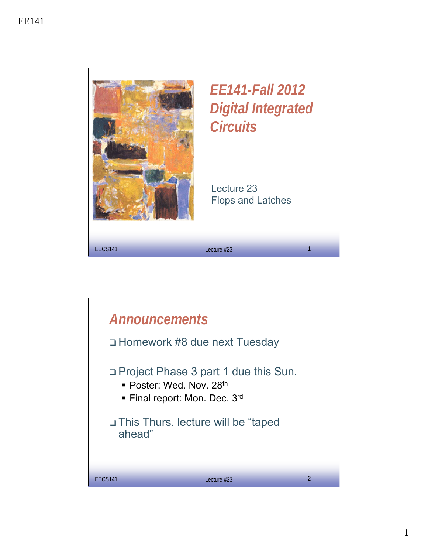

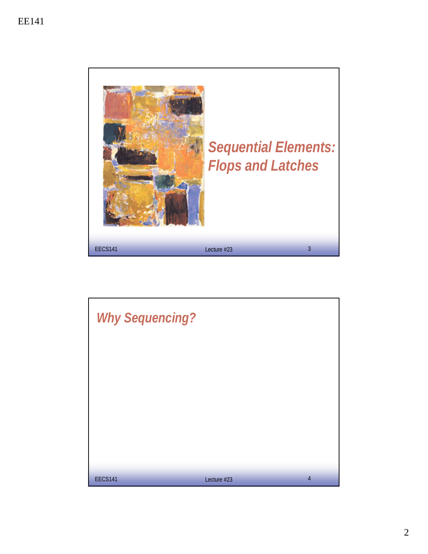

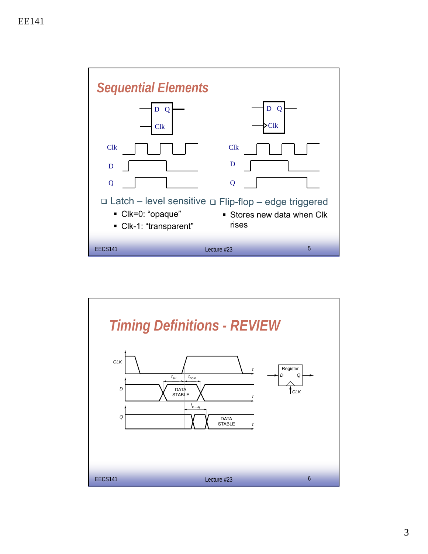

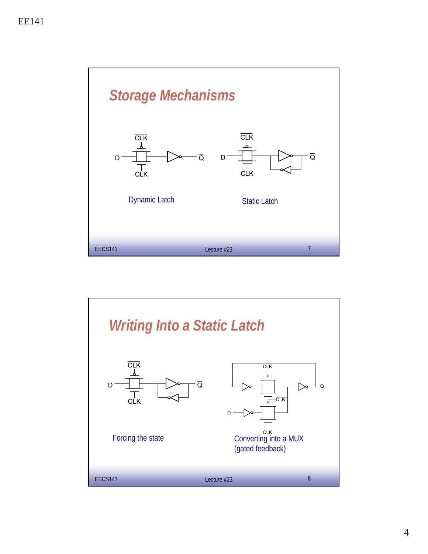

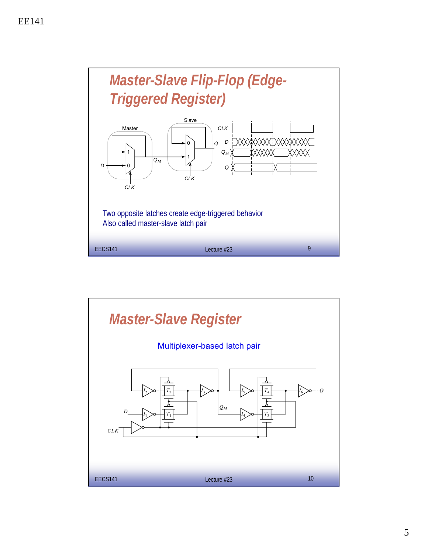

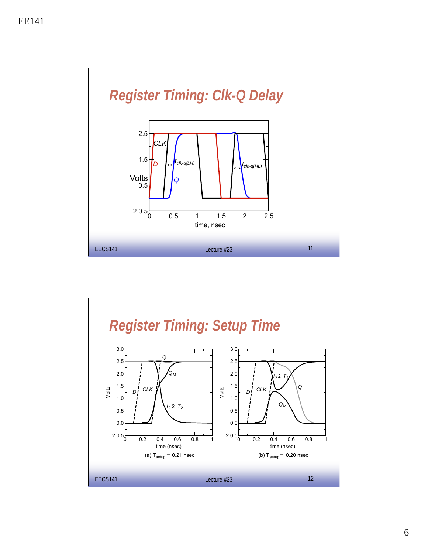

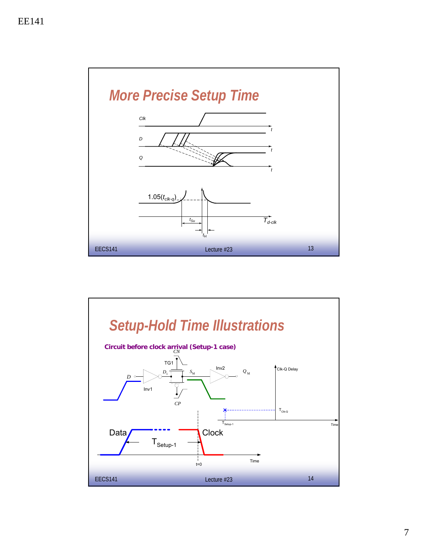

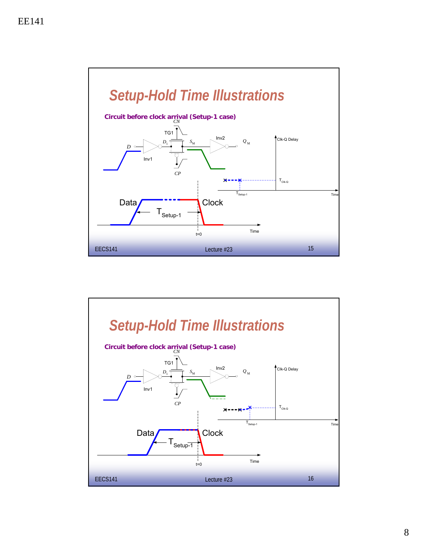

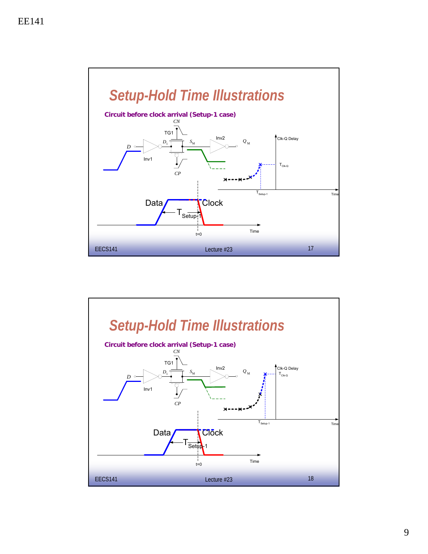

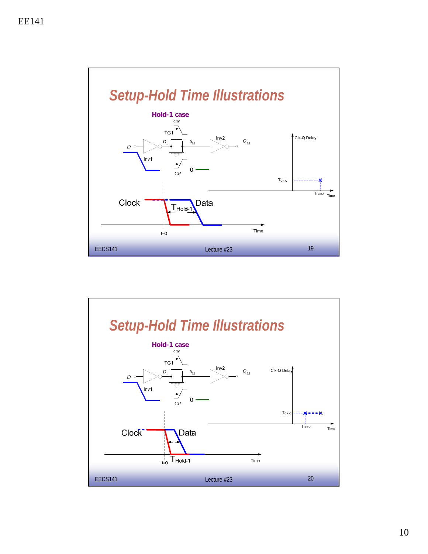

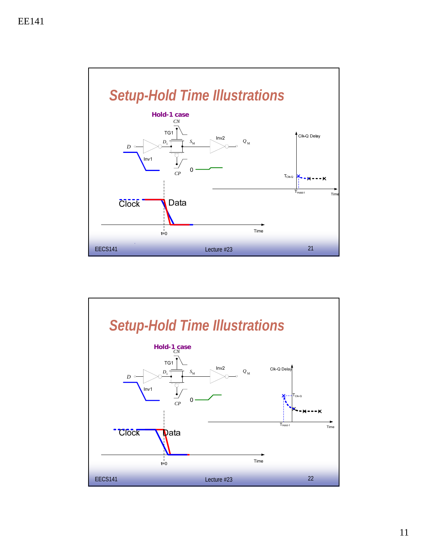

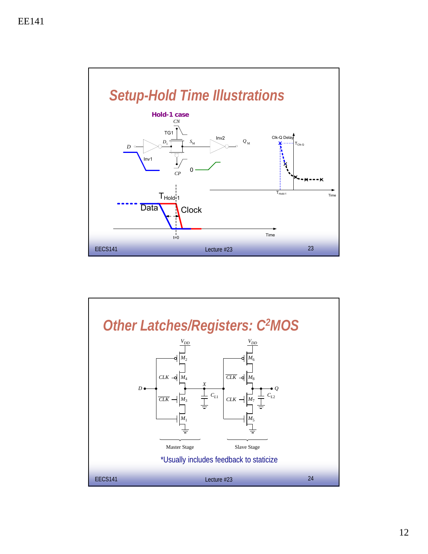

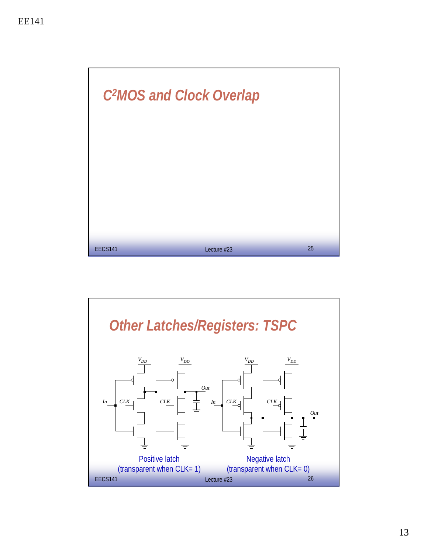

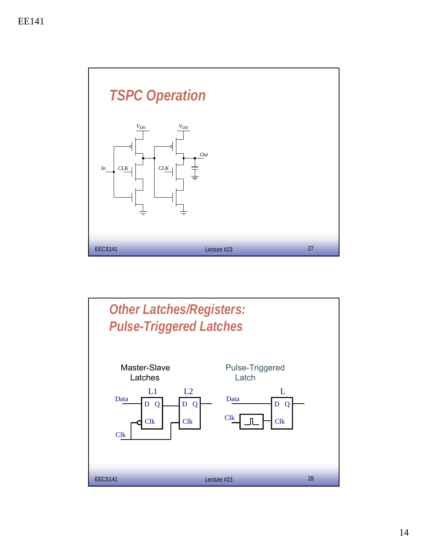